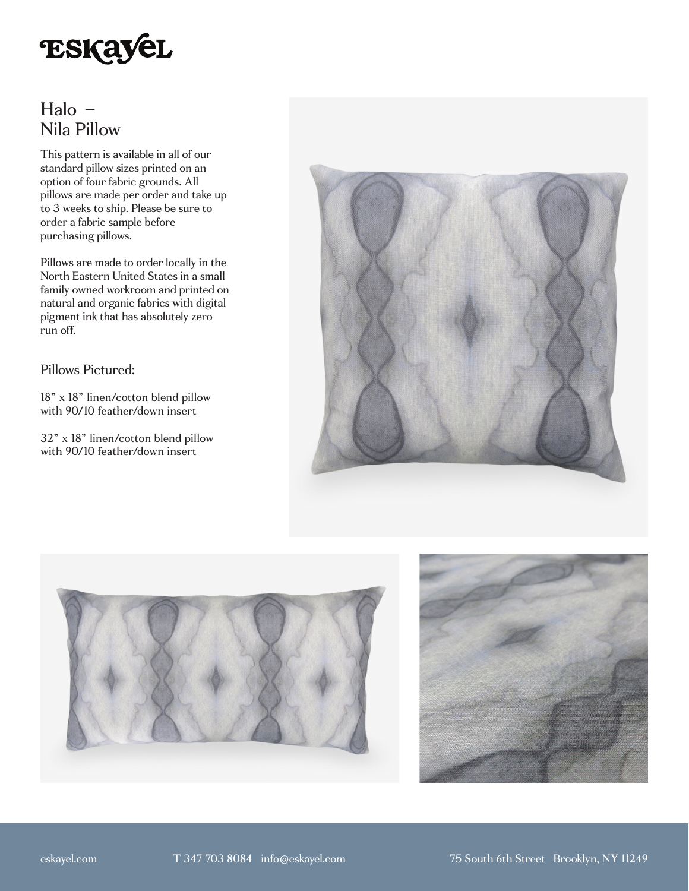

## Halo – Nila Pillow

This pattern is available in all of our standard pillow sizes printed on an option of four fabric grounds. All pillows are made per order and take up to 3 weeks to ship. Please be sure to order a fabric sample before purchasing pillows.

Pillows are made to order locally in the North Eastern United States in a small family owned workroom and printed on natural and organic fabrics with digital pigment ink that has absolutely zero run off.

## Pillows Pictured:

18" x 18" linen/cotton blend pillow with 90/10 feather/down insert

32" x 18" linen/cotton blend pillow with 90/10 feather/down insert